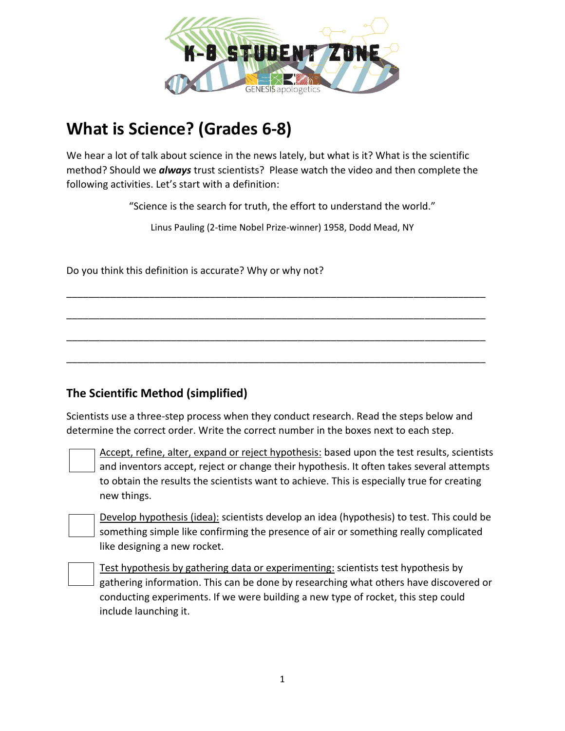

# **What is Science? (Grades 6-8)**

We hear a lot of talk about science in the news lately, but what is it? What is the scientific method? Should we *always* trust scientists? Please watch the video and then complete the following activities. Let's start with a definition:

"Science is the search for truth, the effort to understand the world."

Linus Pauling (2-time Nobel Prize-winner) 1958, Dodd Mead, NY

\_\_\_\_\_\_\_\_\_\_\_\_\_\_\_\_\_\_\_\_\_\_\_\_\_\_\_\_\_\_\_\_\_\_\_\_\_\_\_\_\_\_\_\_\_\_\_\_\_\_\_\_\_\_\_\_\_\_\_\_\_\_\_\_\_\_\_\_\_\_\_\_\_\_\_\_

\_\_\_\_\_\_\_\_\_\_\_\_\_\_\_\_\_\_\_\_\_\_\_\_\_\_\_\_\_\_\_\_\_\_\_\_\_\_\_\_\_\_\_\_\_\_\_\_\_\_\_\_\_\_\_\_\_\_\_\_\_\_\_\_\_\_\_\_\_\_\_\_\_\_\_\_

\_\_\_\_\_\_\_\_\_\_\_\_\_\_\_\_\_\_\_\_\_\_\_\_\_\_\_\_\_\_\_\_\_\_\_\_\_\_\_\_\_\_\_\_\_\_\_\_\_\_\_\_\_\_\_\_\_\_\_\_\_\_\_\_\_\_\_\_\_\_\_\_\_\_\_\_

\_\_\_\_\_\_\_\_\_\_\_\_\_\_\_\_\_\_\_\_\_\_\_\_\_\_\_\_\_\_\_\_\_\_\_\_\_\_\_\_\_\_\_\_\_\_\_\_\_\_\_\_\_\_\_\_\_\_\_\_\_\_\_\_\_\_\_\_\_\_\_\_\_\_\_\_

Do you think this definition is accurate? Why or why not?

## **The Scientific Method (simplified)**

Scientists use a three-step process when they conduct research. Read the steps below and determine the correct order. Write the correct number in the boxes next to each step.

Accept, refine, alter, expand or reject hypothesis: based upon the test results, scientists and inventors accept, reject or change their hypothesis. It often takes several attempts to obtain the results the scientists want to achieve. This is especially true for creating new things.

Develop hypothesis (idea): scientists develop an idea (hypothesis) to test. This could be something simple like confirming the presence of air or something really complicated like designing a new rocket.

Test hypothesis by gathering data or experimenting: scientists test hypothesis by gathering information. This can be done by researching what others have discovered or conducting experiments. If we were building a new type of rocket, this step could include launching it.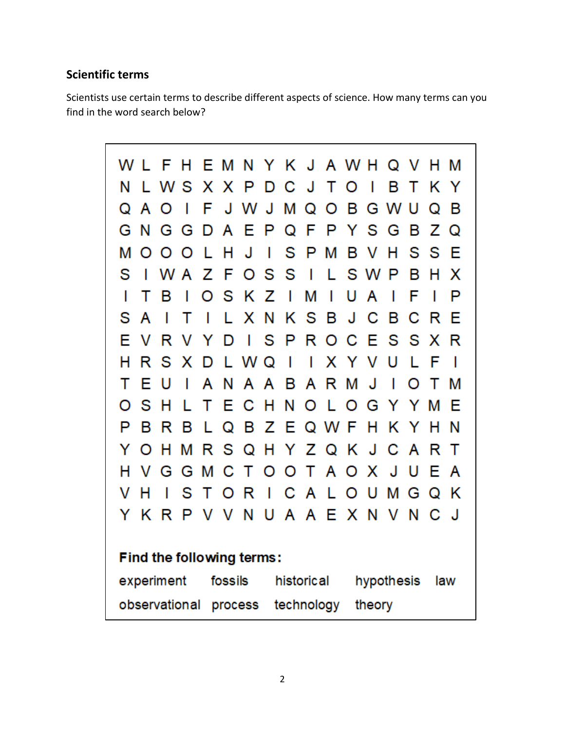# **Scientific terms**

Scientists use certain terms to describe different aspects of science. How many terms can you find in the word search below?

| WLF                                                      | н        |                |     | EMNYKJAWHQV   |     |              |                         |                          |             |                |                          |     | H M |                |
|----------------------------------------------------------|----------|----------------|-----|---------------|-----|--------------|-------------------------|--------------------------|-------------|----------------|--------------------------|-----|-----|----------------|
| N                                                        | LWSXXP   |                |     |               | D   |              | C J                     | T.                       | O           | $\blacksquare$ | вт                       |     | КY  |                |
| Q<br>A                                                   | O<br>I   | F              |     | J W J         |     |              | M Q                     | O                        | в           |                | G W U                    |     | Q   | в              |
| N.<br>G                                                  | G G      |                |     | DAE           | P   | Q F          |                         | P                        | Y S G       |                |                          | в   | Ζ   | Q              |
| М<br>O                                                   | O<br>O   | L              | H   | J             | 1   | S            | P                       | М                        | в           | $\mathsf{V}$   | H                        | S   | S   | E              |
| S                                                        | IWAZF    |                |     |               | OSS |              | $\blacksquare$          |                          | LSWP        |                |                          | в   | н   | X              |
| т<br>L                                                   | в<br>I   | O              |     | SKZ           |     | $\mathbf{L}$ | М                       | $\overline{\phantom{a}}$ | U           | A              | I                        | F   | I   | P              |
| S<br>A                                                   | т<br>T   | $\blacksquare$ | L.  |               |     |              |                         |                          | X N K S B J | C.             | в                        | С   | R   | Е              |
| F<br>V                                                   | R<br>V   | Y              | D   |               | 1 S | P            |                         | R O                      |             | C E            |                          | S S | X R |                |
| н<br>R                                                   | S.<br>X. |                |     | DLWQ          |     | $\mathbf{I}$ | $\overline{\mathsf{I}}$ |                          | X Y V U     |                |                          | L.  | F   | $\blacksquare$ |
| Е<br>т                                                   | U<br>I   | A              | N   |               | A A | в            |                         |                          | A R M J     |                | $\overline{\phantom{a}}$ | O   | т   | М              |
| S<br>O                                                   | н<br>L   | т              | E.  |               | сн  | N            | O                       |                          | L O         |                | G Y Y                    |     | М   | Е              |
| P<br>в                                                   | R<br>в   | L.             |     | Q B Z E Q W F |     |              |                         |                          |             | H.             |                          | K Y | н   | -N             |
| O<br>Y                                                   | н<br>М   |                |     | RSQHYZQKJ     |     |              |                         |                          |             |                | C A                      |     | R   | $\top$         |
| H.<br>V                                                  | G<br>G   | М              |     | C T           | O   |              |                         | OTA                      | O           | X J            |                          | U   | Е   | A              |
| н<br>V                                                   | S<br>I   | т              | O   | R             | - 1 |              |                         | C A L                    | O           | U              | М                        | G   | Q   | Κ              |
| YKRP                                                     |          |                | V V |               |     |              |                         |                          | NUAAEXNVN   |                |                          |     | C   | J.             |
|                                                          |          |                |     |               |     |              |                         |                          |             |                |                          |     |     |                |
| Find the following terms:                                |          |                |     |               |     |              |                         |                          |             |                |                          |     |     |                |
| experiment<br>fossils<br>historical<br>hypothesis<br>law |          |                |     |               |     |              |                         |                          |             |                |                          |     |     |                |
| technology<br>observational<br>process<br>theory         |          |                |     |               |     |              |                         |                          |             |                |                          |     |     |                |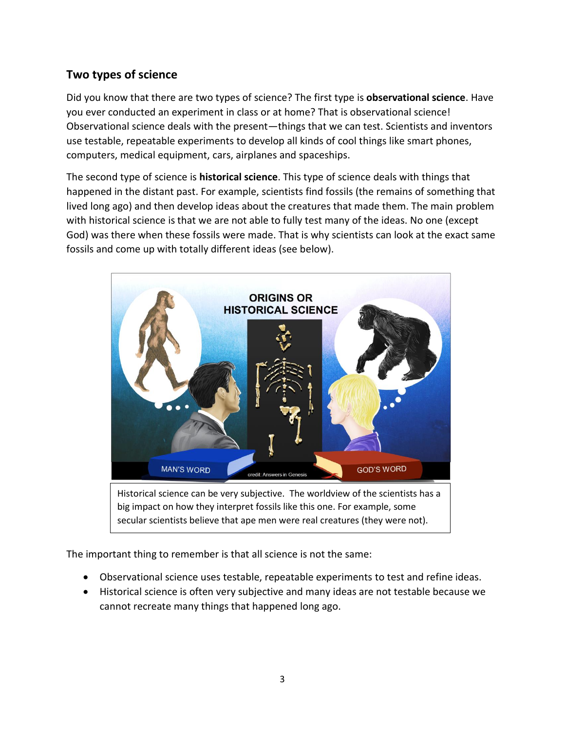# **Two types of science**

Did you know that there are two types of science? The first type is **observational science**. Have you ever conducted an experiment in class or at home? That is observational science! Observational science deals with the present—things that we can test. Scientists and inventors use testable, repeatable experiments to develop all kinds of cool things like smart phones, computers, medical equipment, cars, airplanes and spaceships.

The second type of science is **historical science**. This type of science deals with things that happened in the distant past. For example, scientists find fossils (the remains of something that lived long ago) and then develop ideas about the creatures that made them. The main problem with historical science is that we are not able to fully test many of the ideas. No one (except God) was there when these fossils were made. That is why scientists can look at the exact same fossils and come up with totally different ideas (see below).



big impact on how they interpret fossils like this one. For example, some secular scientists believe that ape men were real creatures (they were not).

The important thing to remember is that all science is not the same:

- Observational science uses testable, repeatable experiments to test and refine ideas.
- Historical science is often very subjective and many ideas are not testable because we cannot recreate many things that happened long ago.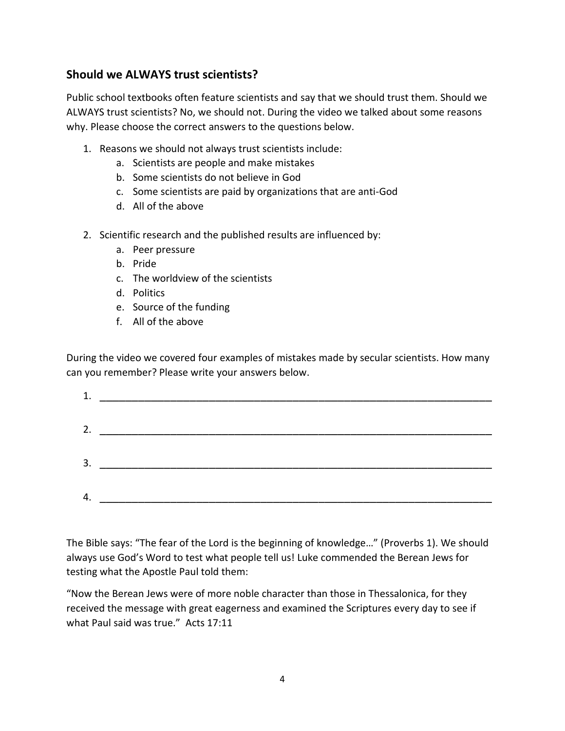### **Should we ALWAYS trust scientists?**

Public school textbooks often feature scientists and say that we should trust them. Should we ALWAYS trust scientists? No, we should not. During the video we talked about some reasons why. Please choose the correct answers to the questions below.

- 1. Reasons we should not always trust scientists include:
	- a. Scientists are people and make mistakes
	- b. Some scientists do not believe in God
	- c. Some scientists are paid by organizations that are anti-God
	- d. All of the above
- 2. Scientific research and the published results are influenced by:
	- a. Peer pressure
	- b. Pride
	- c. The worldview of the scientists
	- d. Politics
	- e. Source of the funding
	- f. All of the above

During the video we covered four examples of mistakes made by secular scientists. How many can you remember? Please write your answers below.

| 3. | <u> 2000 - 2000 - 2000 - 2000 - 2000 - 2000 - 2000 - 2000 - 2000 - 2000 - 2000 - 2000 - 2000 - 2000 - 2000 - 200</u> |
|----|----------------------------------------------------------------------------------------------------------------------|
|    |                                                                                                                      |
| 4. |                                                                                                                      |
|    |                                                                                                                      |

The Bible says: "The fear of the Lord is the beginning of knowledge…" (Proverbs 1). We should always use God's Word to test what people tell us! Luke commended the Berean Jews for testing what the Apostle Paul told them:

"Now the Berean Jews were of more noble character than those in Thessalonica, for they received the message with great eagerness and examined the Scriptures every day to see if what Paul said was true." Acts 17:11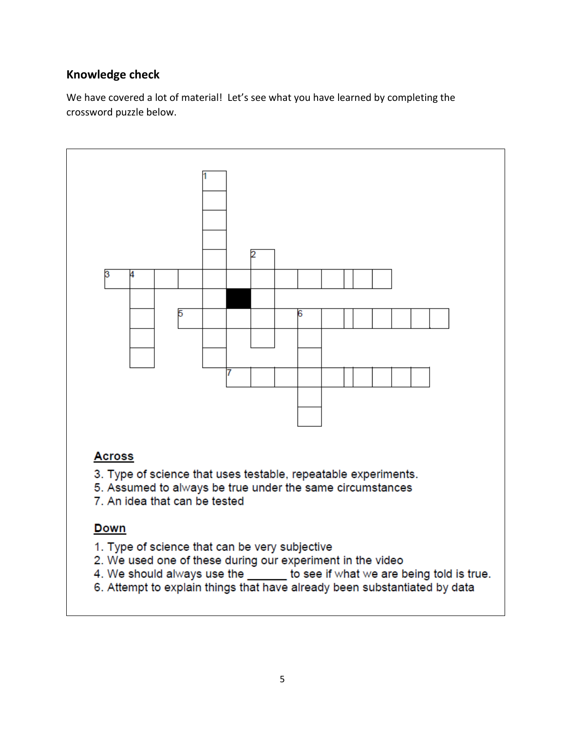# **Knowledge check**

We have covered a lot of material! Let's see what you have learned by completing the crossword puzzle below.

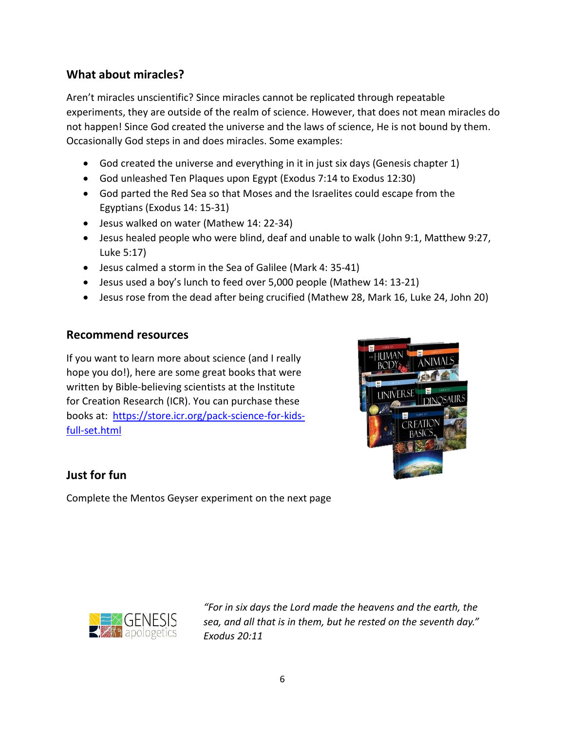## **What about miracles?**

Aren't miracles unscientific? Since miracles cannot be replicated through repeatable experiments, they are outside of the realm of science. However, that does not mean miracles do not happen! Since God created the universe and the laws of science, He is not bound by them. Occasionally God steps in and does miracles. Some examples:

- God created the universe and everything in it in just six days (Genesis chapter 1)
- God unleashed Ten Plaques upon Egypt (Exodus 7:14 to Exodus 12:30)
- God parted the Red Sea so that Moses and the Israelites could escape from the Egyptians (Exodus 14: 15-31)
- Jesus walked on water (Mathew 14: 22-34)
- Jesus healed people who were blind, deaf and unable to walk (John 9:1, Matthew 9:27, Luke 5:17)
- Jesus calmed a storm in the Sea of Galilee (Mark 4: 35-41)
- Jesus used a boy's lunch to feed over 5,000 people (Mathew 14: 13-21)
- Jesus rose from the dead after being crucified (Mathew 28, Mark 16, Luke 24, John 20)

#### **Recommend resources**

If you want to learn more about science (and I really hope you do!), here are some great books that were written by Bible-believing scientists at the Institute for Creation Research (ICR). You can purchase these books at: [https://store.icr.org/pack-science-for-kids](https://store.icr.org/pack-science-for-kids-full-set.html)[full-set.html](https://store.icr.org/pack-science-for-kids-full-set.html)



## **Just for fun**

Complete the Mentos Geyser experiment on the next page



*"For in six days the Lord made the heavens and the earth, the sea, and all that is in them, but he rested on the seventh day." Exodus 20:11*